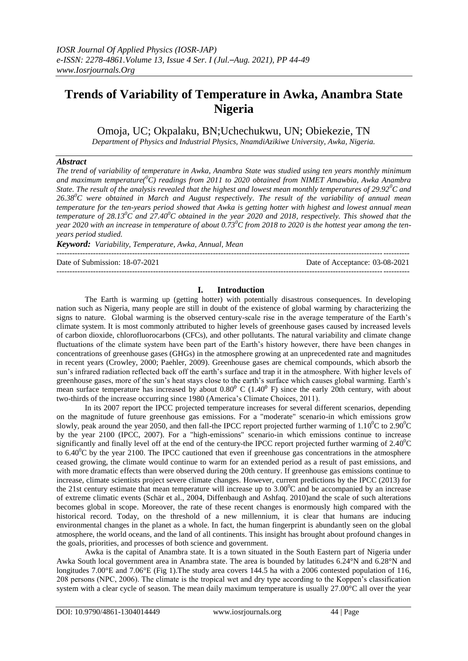# **Trends of Variability of Temperature in Awka, Anambra State Nigeria**

Omoja, UC; Okpalaku, BN;Uchechukwu, UN; Obiekezie, TN

*Department of Physics and Industrial Physics, NnamdiAzikiwe University, Awka, Nigeria.*

#### *Abstract*

*The trend of variability of temperature in Awka, Anambra State was studied using ten years monthly minimum and maximum temperature(<sup>0</sup>C) readings from 2011 to 2020 obtained from NIMET Amawbia, Awka Anambra State. The result of the analysis revealed that the highest and lowest mean monthly temperatures of 29.92<sup>0</sup>C and 26.38<sup>0</sup>C were obtained in March and August respectively. The result of the variability of annual mean temperature for the ten-years period showed that Awka is getting hotter with highest and lowest annual mean temperature of 28.13<sup>0</sup>C and 27.40<sup>0</sup>C obtained in the year 2020 and 2018, respectively. This showed that the year 2020 with an increase in temperature of about 0.73<sup>0</sup>C from 2018 to 2020 is the hottest year among the tenyears period studied.* 

*Keyword: Variability, Temperature, Awka, Annual, Mean*

---------------------------------------------------------------------------------------------------------------------------------------

Date of Submission: 18-07-2021 Date of Acceptance: 03-08-2021 ---------------------------------------------------------------------------------------------------------------------------------------

#### **I. Introduction**

The Earth is warming up (getting hotter) with potentially disastrous consequences. In developing nation such as Nigeria, many people are still in doubt of the existence of global warming by characterizing the signs to nature. Global warming is the observed century-scale rise in the average temperature of the Earth's climate system. It is most commonly attributed to higher levels of greenhouse gases caused by increased levels of carbon dioxide, chlorofluorocarbons (CFCs), and other pollutants. The natural variability and climate change fluctuations of the climate system have been part of the Earth's history however, there have been changes in concentrations of greenhouse gases (GHGs) in the atmosphere growing at an unprecedented rate and magnitudes in recent years (Crowley, 2000; Paehler, 2009). Greenhouse gases are chemical compounds, which absorb the sun's infrared radiation reflected back off the earth's surface and trap it in the atmosphere. With higher levels of greenhouse gases, more of the sun's heat stays close to the earth's surface which causes global warming. Earth's mean surface temperature has increased by about  $0.80^{\circ}$  C (1.40 $^{\circ}$  F) since the early 20th century, with about two-thirds of the increase occurring since 1980 (America's Climate Choices, 2011).

In its 2007 report the IPCC projected temperature increases for several different scenarios, depending on the magnitude of future greenhouse gas emissions. For a "moderate" scenario-in which emissions grow slowly, peak around the year 2050, and then fall-the IPCC report projected further warming of  $1.10^{\circ}$ C to  $2.90^{\circ}$ C by the year 2100 (IPCC, 2007). For a "high-emissions" scenario-in which emissions continue to increase significantly and finally level off at the end of the century-the IPCC report projected further warming of  $2.40^{\circ}$ C to 6.40<sup>o</sup>C by the year 2100. The IPCC cautioned that even if greenhouse gas concentrations in the atmosphere ceased growing, the climate would continue to warm for an extended period as a result of past emissions, and with more dramatic effects than were observed during the 20th century. If greenhouse gas emissions continue to increase, climate scientists project severe climate changes. However, current predictions by the IPCC (2013) for the 21st century estimate that mean temperature will increase up to  $3.00^{\circ}$ C and be accompanied by an increase of extreme climatic events (Schär et al., 2004, Diffenbaugh and Ashfaq. 2010)and the scale of such alterations becomes global in scope. Moreover, the rate of these recent changes is enormously high compared with the historical record. Today, on the threshold of a new millennium, it is clear that humans are inducing environmental changes in the planet as a whole. In fact, the human fingerprint is abundantly seen on the global atmosphere, the world oceans, and the land of all continents. This insight has brought about profound changes in the goals, priorities, and processes of both science and government.

Awka is the capital of Anambra state. It is a town situated in the South Eastern part of Nigeria under Awka South local government area in Anambra state. The area is bounded by latitudes 6.24°N and 6.28°N and longitudes 7.00°E and 7.06°E (Fig 1). The study area covers 144.5 ha with a 2006 contested population of 116, 208 persons (NPC, 2006). The climate is the tropical wet and dry type according to the Koppen's classification system with a clear cycle of season. The mean daily maximum temperature is usually 27.00°C all over the year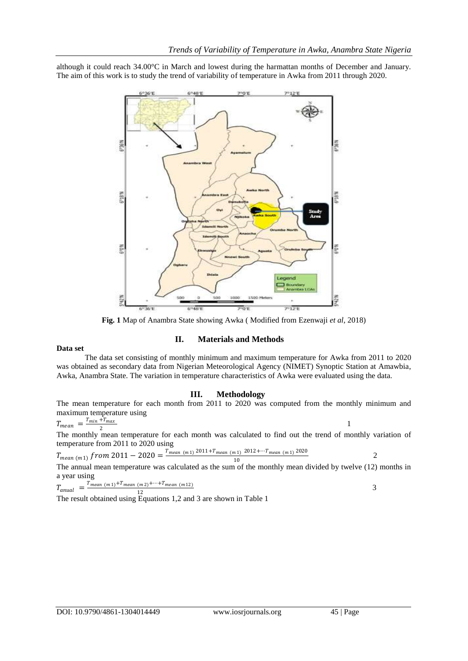although it could reach 34.00°C in March and lowest during the harmattan months of December and January. The aim of this work is to study the trend of variability of temperature in Awka from 2011 through 2020.



**Fig. 1** Map of Anambra State showing Awka ( Modified from Ezenwaji *et al*, 2018)

### **II. Materials and Methods**

#### **Data set**

The data set consisting of monthly minimum and maximum temperature for Awka from 2011 to 2020 was obtained as secondary data from Nigerian Meteorological Agency (NIMET) Synoptic Station at Amawbia, Awka, Anambra State. The variation in temperature characteristics of Awka were evaluated using the data.

#### **III. Methodology**

The mean temperature for each month from 2011 to 2020 was computed from the monthly minimum and maximum temperature using

 $T_{mean} = \frac{T_{min} + T_{max}}{2}$ 2

 $1$ The monthly mean temperature for each month was calculated to find out the trend of monthly variation of temperature from 2011 to 2020 using

$$
T_{mean (m1)} \, from \, 2011 - 2020 = \frac{T_{mean (m1)}^{2011 + T_{mean (m1)}^{2012 + \cdots T_{mean (m1)}^{2020}}}{10}
$$

The annual mean temperature was calculated as the sum of the monthly mean divided by twelve (12) months in a year using

$$
T_{annual} = \frac{T_{mean (m1)} + T_{mean (m2)} + \dots + T_{mean (m12)}}{12}
$$
\n
$$
T_{total, total} = T_{excitance, 1, 2, and 3, and normal (m1, 12)}
$$

The result obtained using Equations 1,2 and 3 are shown in Table 1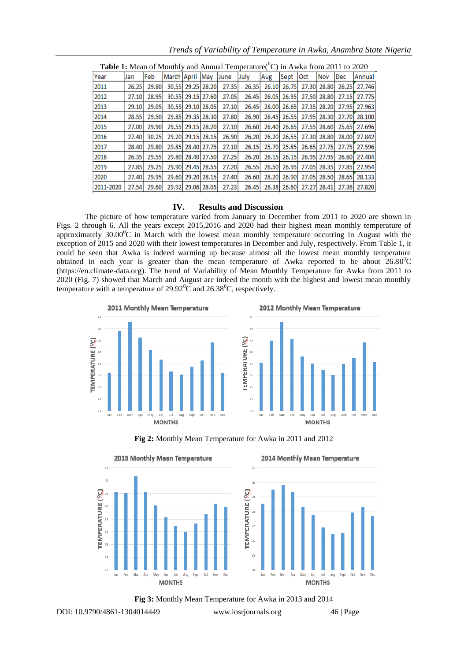| <b>Table 1:</b> Mean of Monthly and Annual Temperature( $\rm{^0C}$ ) in Awka from 2011 to 2020 |       |       |                 |  |             |       |       |       |       |       |       |            |        |
|------------------------------------------------------------------------------------------------|-------|-------|-----------------|--|-------------|-------|-------|-------|-------|-------|-------|------------|--------|
| Year                                                                                           | Jan   | Feb   | March April May |  |             | June  | July  | Aug   | Sept  | Oct   | Nov   | <b>Dec</b> | Annual |
| 2011                                                                                           | 26.25 | 29.80 | 30.55           |  | 29.25 28.20 | 27.35 | 26.35 | 26.10 | 26.75 | 27.30 | 28.80 | 26.25      | 27.746 |
| 2012                                                                                           | 27.10 | 28.95 | 30.55           |  | 29.15 27.60 | 27.05 | 26.45 | 26.05 | 26.95 | 27.50 | 28.80 | 27.15      | 27.775 |
| 2013                                                                                           | 29.10 | 29.05 | 30.55           |  | 29.10 28.05 | 27.10 | 26.45 | 26.00 | 26.65 | 27.35 | 28.20 | 27.95      | 27.963 |
| 2014                                                                                           | 28.55 | 29.50 | 29.85           |  | 29.35 28.30 | 27.80 | 26.90 | 26.45 | 26.55 | 27.95 | 28.30 | 27.70      | 28,100 |
| 2015                                                                                           | 27.00 | 29.90 | 29.55           |  | 29.15 28.20 | 27.10 | 26.60 | 26.40 | 26.65 | 27.55 | 28.60 | 25.65      | 27.696 |
| 2016                                                                                           | 27.40 | 30.25 | 29.20           |  | 29.15 28.15 | 26.90 | 26.20 | 26.20 | 26.55 | 27.30 | 28.80 | 28.00      | 27.842 |
| 2017                                                                                           | 28.40 | 29.80 | 29.85           |  | 28.40 27.75 | 27.10 | 26.15 | 25.70 | 25.85 | 26.65 | 27.75 | 27.75      | 27.596 |
| 2018                                                                                           | 26.35 | 29.55 | 29.80           |  | 28.40 27.50 | 27.25 | 26.20 | 26.15 | 26.15 | 26.95 | 27.95 | 26.60      | 27,404 |
| 2019                                                                                           | 27.85 | 29.25 | 29.90           |  | 29.45 28.55 | 27.20 | 26.55 | 26.50 | 26.95 | 27.05 | 28.35 | 27.85      | 27.954 |
| 2020                                                                                           | 27.40 | 29.95 | 29.60           |  | 29.20 28.15 | 27.40 | 26.60 | 28.20 | 26.90 | 27.05 | 28.50 | 28.65      | 28.133 |
| 2011-2020                                                                                      | 27.54 | 29.60 | 29.92           |  | 29.06 28.05 | 27.23 | 26.45 | 26.38 | 26.60 | 27.27 | 28.41 | 27.36      | 27.820 |

*Trends of Variability of Temperature in Awka, Anambra State Nigeria*

### **IV. Results and Discussion**

The picture of how temperature varied from January to December from 2011 to 2020 are shown in Figs. 2 through 6. All the years except 2015,2016 and 2020 had their highest mean monthly temperature of approximately  $30.00^{\circ}$ C in March with the lowest mean monthly temperature occurring in August with the exception of 2015 and 2020 with their lowest temperatures in December and July, respectively. From Table 1, it could be seen that Awka is indeed warming up because almost all the lowest mean monthly temperature obtained in each year is greater than the mean temperature of Awka reported to be about  $26.80^{\circ}$ C (https://en.climate-data.org). The trend of Variability of Mean Monthly Temperature for Awka from 2011 to 2020 (Fig. 7) showed that March and August are indeed the month with the highest and lowest mean monthly temperature with a temperature of  $29.92^{\circ}$ C and  $26.38^{\circ}$ C, respectively.



**Fig 2:** Monthly Mean Temperature for Awka in 2011 and 2012



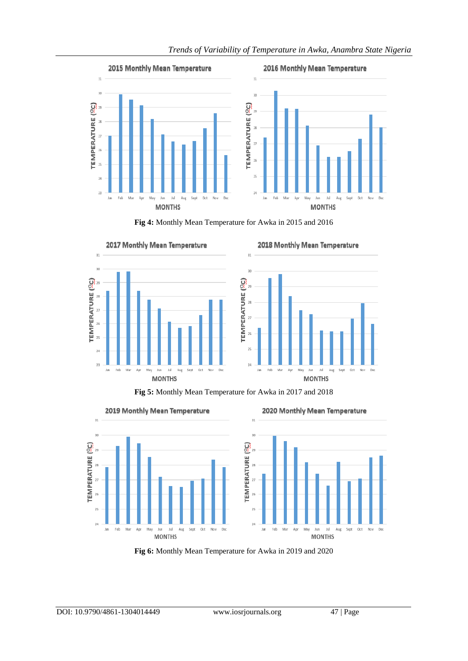

**Fig 4:** Monthly Mean Temperature for Awka in 2015 and 2016



**Fig 5:** Monthly Mean Temperature for Awka in 2017 and 2018



**Fig 6:** Monthly Mean Temperature for Awka in 2019 and 2020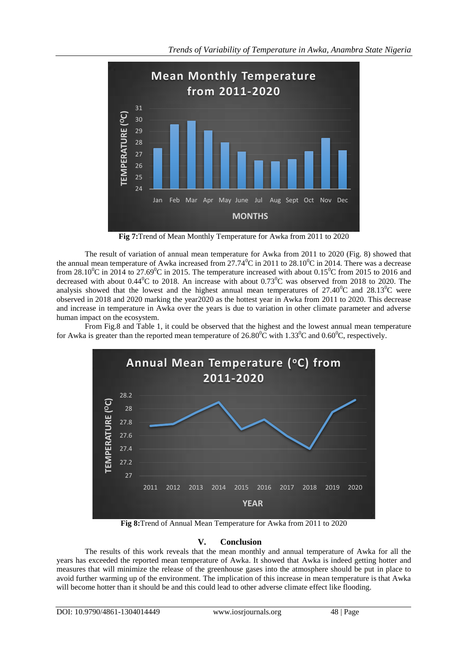

**Fig 7:**Trend of Mean Monthly Temperature for Awka from 2011 to 2020

The result of variation of annual mean temperature for Awka from 2011 to 2020 (Fig. 8) showed that the annual mean temperature of Awka increased from  $27.74^{\circ}$ C in 2011 to 28.10<sup>o</sup>C in 2014. There was a decrease from 28.10<sup>o</sup>C in 2014 to 27.69<sup>o</sup>C in 2015. The temperature increased with about 0.15<sup>o</sup>C from 2015 to 2016 and decreased with about  $0.44\degree$ C to 2018. An increase with about  $0.73\degree$ C was observed from 2018 to 2020. The analysis showed that the lowest and the highest annual mean temperatures of  $27.40^{\circ}$ C and  $28.13^{\circ}$ C were observed in 2018 and 2020 marking the year2020 as the hottest year in Awka from 2011 to 2020. This decrease and increase in temperature in Awka over the years is due to variation in other climate parameter and adverse human impact on the ecosystem.

From Fig.8 and Table 1, it could be observed that the highest and the lowest annual mean temperature for Awka is greater than the reported mean temperature of  $26.80^{\circ}$ C with  $1.33^{\circ}$ C and  $0.60^{\circ}$ C, respectively.



**Fig 8:**Trend of Annual Mean Temperature for Awka from 2011 to 2020

## **V. Conclusion**

The results of this work reveals that the mean monthly and annual temperature of Awka for all the years has exceeded the reported mean temperature of Awka. It showed that Awka is indeed getting hotter and measures that will minimize the release of the greenhouse gases into the atmosphere should be put in place to avoid further warming up of the environment. The implication of this increase in mean temperature is that Awka will become hotter than it should be and this could lead to other adverse climate effect like flooding.